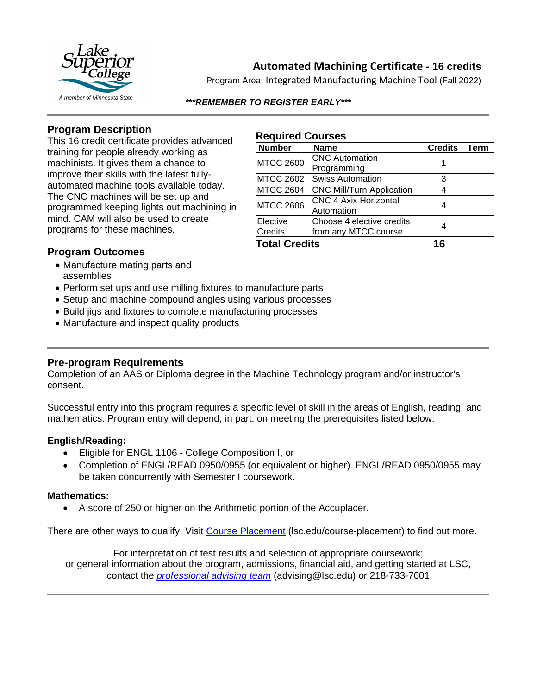

**Automated Machining Certificate - 16 credits**

Program Area: Integrated Manufacturing Machine Tool (Fall 2022)

*\*\*\*REMEMBER TO REGISTER EARLY\*\*\**

## **Program Description**

This 16 credit certificate provides advanced training for people already working as machinists. It gives them a chance to improve their skills with the latest fullyautomated machine tools available today. The CNC machines will be set up and programmed keeping lights out machining in mind. CAM will also be used to create programs for these machines.

#### **Required Courses**

| <b>Number</b>        | <b>Name</b>                                        | <b>Credits</b> | Term |
|----------------------|----------------------------------------------------|----------------|------|
| <b>MTCC 2600</b>     | <b>CNC</b> Automation<br>Programming               |                |      |
| <b>MTCC 2602</b>     | <b>Swiss Automation</b>                            | 3              |      |
| <b>MTCC 2604</b>     | <b>CNC Mill/Turn Application</b>                   |                |      |
| <b>MTCC 2606</b>     | <b>CNC 4 Axix Horizontal</b><br>Automation         |                |      |
| Elective<br>Credits  | Choose 4 elective credits<br>from any MTCC course. |                |      |
| <b>Total Credits</b> |                                                    | 16             |      |

## **Program Outcomes**

- Manufacture mating parts and assemblies
- Perform set ups and use milling fixtures to manufacture parts
- Setup and machine compound angles using various processes
- Build jigs and fixtures to complete manufacturing processes
- Manufacture and inspect quality products

### **Pre-program Requirements**

Completion of an AAS or Diploma degree in the Machine Technology program and/or instructor's consent.

Successful entry into this program requires a specific level of skill in the areas of English, reading, and mathematics. Program entry will depend, in part, on meeting the prerequisites listed below:

#### **English/Reading:**

- Eligible for ENGL 1106 College Composition I, or
- Completion of ENGL/READ 0950/0955 (or equivalent or higher). ENGL/READ 0950/0955 may be taken concurrently with Semester I coursework.

#### **Mathematics:**

• A score of 250 or higher on the Arithmetic portion of the Accuplacer.

There are other ways to qualify. Visit [Course Placement](https://www.lsc.edu/course-placement/) (Isc.edu/course-placement) to find out more.

For interpretation of test results and selection of appropriate coursework; or general information about the program, admissions, financial aid, and getting started at LSC, contact the *[professional advising team](mailto:advising@lsc.edu)* (advising@lsc.edu) or 218-733-7601